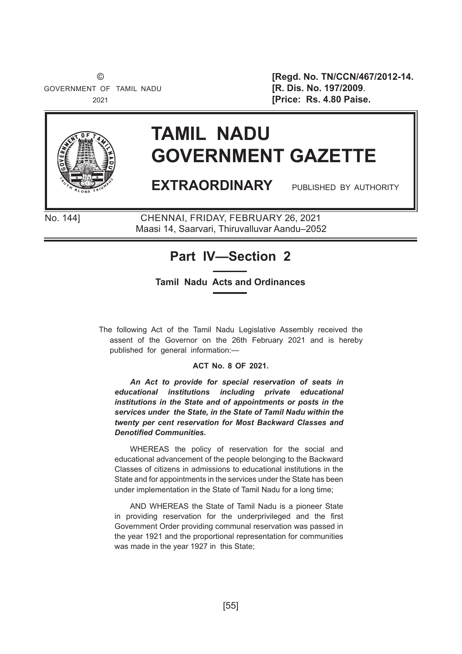GOVERNMENT OF TAMIL NADU **[R. Dis. No. 197/2009**.

 © **[Regd. No. TN/CCN/467/2012-14.** 2021 **[Price: Rs. 4.80 Paise.**



# **TAMIL NADU GOVERNMENT GAZETTE**

**EXTRAORDINARY** PUBLISHED BY AUTHORITY

No. 144] CHENNAI, FRIDAY, FEBRUARY 26, 2021 No. 144] CHENNAI, FRIDAY, FEBRUARY 26, 2021 Maasi 14, Saarvari, Thiruvalluvar Aandu–2051 Maasi 14, Saarvari, Thiruvalluvar Aandu–2052

## **Part IV—Section 2**

### **Tamil Nadu Acts and Ordinances**

The following Act of the Tamil Nadu Legislative Assembly received the assent of the Governor on the 26th February 2021 and is hereby published for general information:—

### **ACT No. 8 OF 2021.**

*An Act to provide for special reservation of seats in educational institutions including private educational institutions in the State and of appointments or posts in the services under the State, in the State of Tamil Nadu within the twenty per cent reservation for Most Backward Classes and*  **Denotified Communities.** 

WHEREAS the policy of reservation for the social and educational advancement of the people belonging to the Backward Classes of citizens in admissions to educational institutions in the State and for appointments in the services under the State has been under implementation in the State of Tamil Nadu for a long time;

AND WHEREAS the State of Tamil Nadu is a pioneer State in providing reservation for the underprivileged and the first Government Order providing communal reservation was passed in the year 1921 and the proportional representation for communities was made in the year 1927 in this State;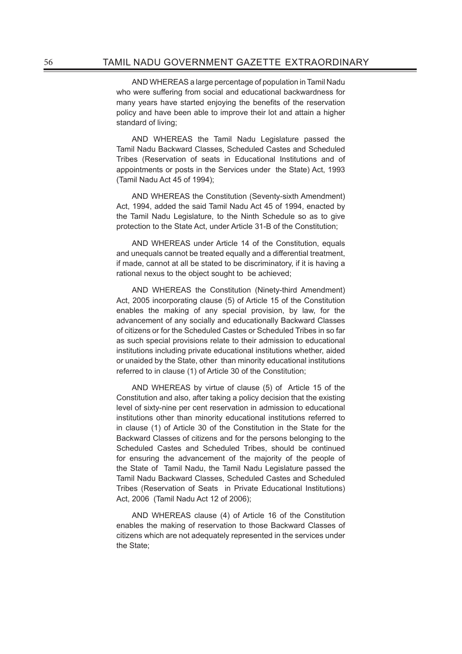AND WHEREAS a large percentage of population in Tamil Nadu who were suffering from social and educational backwardness for many years have started enjoying the benefits of the reservation policy and have been able to improve their lot and attain a higher standard of living;

AND WHEREAS the Tamil Nadu Legislature passed the Tamil Nadu Backward Classes, Scheduled Castes and Scheduled Tribes (Reservation of seats in Educational Institutions and of appointments or posts in the Services under the State) Act, 1993 (Tamil Nadu Act 45 of 1994);

AND WHEREAS the Constitution (Seventy-sixth Amendment) Act, 1994, added the said Tamil Nadu Act 45 of 1994, enacted by the Tamil Nadu Legislature, to the Ninth Schedule so as to give protection to the State Act, under Article 31-B of the Constitution;

AND WHEREAS under Article 14 of the Constitution, equals and unequals cannot be treated equally and a differential treatment, if made, cannot at all be stated to be discriminatory, if it is having a rational nexus to the object sought to be achieved;

AND WHEREAS the Constitution (Ninety-third Amendment) Act, 2005 incorporating clause (5) of Article 15 of the Constitution enables the making of any special provision, by law, for the advancement of any socially and educationally Backward Classes of citizens or for the Scheduled Castes or Scheduled Tribes in so far as such special provisions relate to their admission to educational institutions including private educational institutions whether, aided or unaided by the State, other than minority educational institutions referred to in clause (1) of Article 30 of the Constitution;

AND WHEREAS by virtue of clause (5) of Article 15 of the Constitution and also, after taking a policy decision that the existing level of sixty-nine per cent reservation in admission to educational institutions other than minority educational institutions referred to in clause (1) of Article 30 of the Constitution in the State for the Backward Classes of citizens and for the persons belonging to the Scheduled Castes and Scheduled Tribes, should be continued for ensuring the advancement of the majority of the people of the State of Tamil Nadu, the Tamil Nadu Legislature passed the Tamil Nadu Backward Classes, Scheduled Castes and Scheduled Tribes (Reservation of Seats in Private Educational Institutions) Act, 2006 (Tamil Nadu Act 12 of 2006);

AND WHEREAS clause (4) of Article 16 of the Constitution enables the making of reservation to those Backward Classes of citizens which are not adequately represented in the services under the State;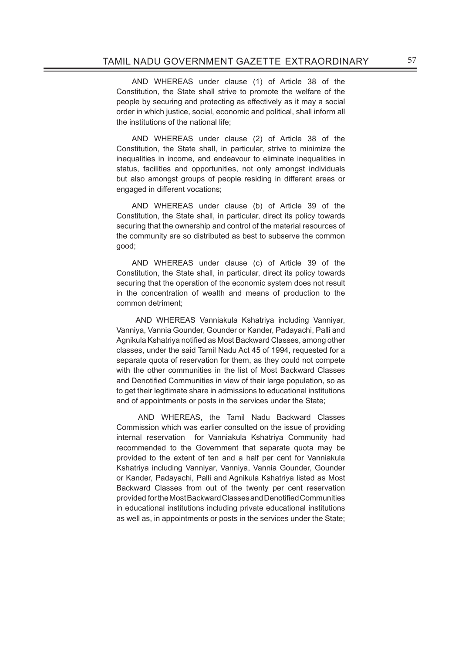AND WHEREAS under clause (1) of Article 38 of the Constitution, the State shall strive to promote the welfare of the people by securing and protecting as effectively as it may a social order in which justice, social, economic and political, shall inform all the institutions of the national life;

AND WHEREAS under clause (2) of Article 38 of the Constitution, the State shall, in particular, strive to minimize the inequalities in income, and endeavour to eliminate inequalities in status, facilities and opportunities, not only amongst individuals but also amongst groups of people residing in different areas or engaged in different vocations;

AND WHEREAS under clause (b) of Article 39 of the Constitution, the State shall, in particular, direct its policy towards securing that the ownership and control of the material resources of the community are so distributed as best to subserve the common good;

AND WHEREAS under clause (c) of Article 39 of the Constitution, the State shall, in particular, direct its policy towards securing that the operation of the economic system does not result in the concentration of wealth and means of production to the common detriment;

 AND WHEREAS Vanniakula Kshatriya including Vanniyar, Vanniya, Vannia Gounder, Gounder or Kander, Padayachi, Palli and Agnikula Kshatriya notified as Most Backward Classes, among other classes, under the said Tamil Nadu Act 45 of 1994, requested for a separate quota of reservation for them, as they could not compete with the other communities in the list of Most Backward Classes and Denotified Communities in view of their large population, so as to get their legitimate share in admissions to educational institutions and of appointments or posts in the services under the State;

 AND WHEREAS, the Tamil Nadu Backward Classes Commission which was earlier consulted on the issue of providing internal reservation for Vanniakula Kshatriya Community had recommended to the Government that separate quota may be provided to the extent of ten and a half per cent for Vanniakula Kshatriya including Vanniyar, Vanniya, Vannia Gounder, Gounder or Kander, Padayachi, Palli and Agnikula Kshatriya listed as Most Backward Classes from out of the twenty per cent reservation provided for the Most Backward Classes and Denotified Communities in educational institutions including private educational institutions as well as, in appointments or posts in the services under the State;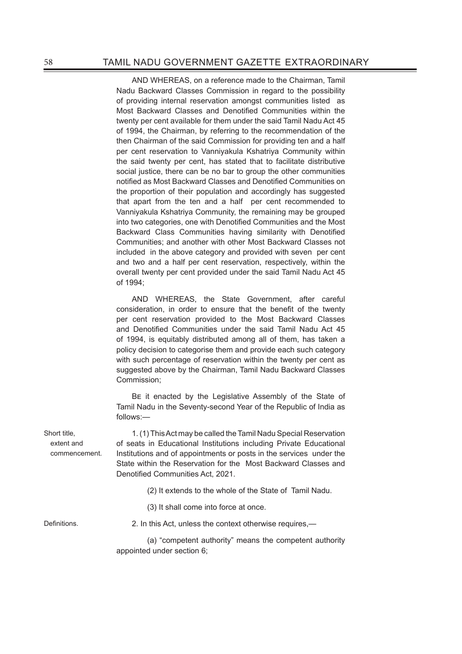AND WHEREAS, on a reference made to the Chairman, Tamil Nadu Backward Classes Commission in regard to the possibility of providing internal reservation amongst communities listed as Most Backward Classes and Denotified Communities within the twenty per cent available for them under the said Tamil Nadu Act 45 of 1994, the Chairman, by referring to the recommendation of the then Chairman of the said Commission for providing ten and a half per cent reservation to Vanniyakula Kshatriya Community within the said twenty per cent, has stated that to facilitate distributive social justice, there can be no bar to group the other communities notified as Most Backward Classes and Denotified Communities on the proportion of their population and accordingly has suggested that apart from the ten and a half per cent recommended to Vanniyakula Kshatriya Community, the remaining may be grouped into two categories, one with Denotified Communities and the Most Backward Class Communities having similarity with Denotified Communities; and another with other Most Backward Classes not included in the above category and provided with seven per cent and two and a half per cent reservation, respectively, within the overall twenty per cent provided under the said Tamil Nadu Act 45 of 1994;

AND WHEREAS, the State Government, after careful consideration, in order to ensure that the benefit of the twenty per cent reservation provided to the Most Backward Classes and Denotified Communities under the said Tamil Nadu Act 45 of 1994, is equitably distributed among all of them, has taken a policy decision to categorise them and provide each such category with such percentage of reservation within the twenty per cent as suggested above by the Chairman, Tamil Nadu Backward Classes Commission;

BE it enacted by the Legislative Assembly of the State of Tamil Nadu in the Seventy-second Year of the Republic of India as follows:—

1. (1) This Act may be called the Tamil Nadu Special Reservation of seats in Educational Institutions including Private Educational Institutions and of appointments or posts in the services under the State within the Reservation for the Most Backward Classes and Denotified Communities Act, 2021.

(2) It extends to the whole of the State of Tamil Nadu.

(3) It shall come into force at once.

Short title, extent and commencement.

Definitions. 2. In this Act, unless the context otherwise requires,—

 (a) "competent authority" means the competent authority appointed under section 6;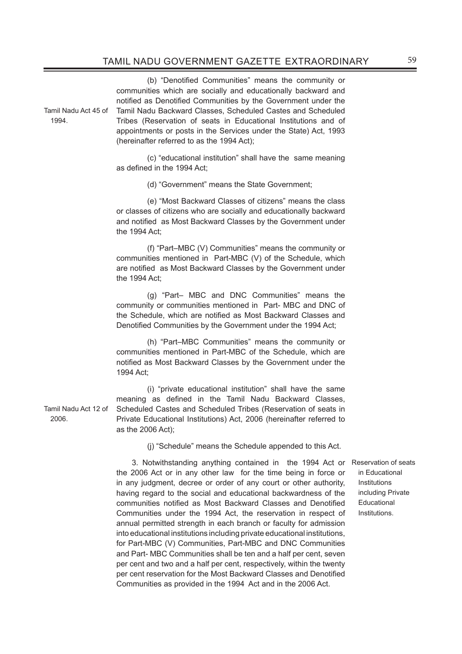(b) "Denotified Communities" means the community or communities which are socially and educationally backward and notified as Denotified Communities by the Government under the Tamil Nadu Backward Classes, Scheduled Castes and Scheduled Tribes (Reservation of seats in Educational Institutions and of appointments or posts in the Services under the State) Act, 1993 (hereinafter referred to as the 1994 Act);

 (c) "educational institution" shall have the same meaning as defined in the 1994 Act:

(d) "Government" means the State Government;

 (e) "Most Backward Classes of citizens" means the class or classes of citizens who are socially and educationally backward and notified as Most Backward Classes by the Government under the 1994 Act;

 (f) "Part–MBC (V) Communities" means the community or communities mentioned in Part-MBC (V) of the Schedule, which are notified as Most Backward Classes by the Government under the 1994 Act;

 (g) "Part– MBC and DNC Communities" means the community or communities mentioned in Part- MBC and DNC of the Schedule, which are notified as Most Backward Classes and Denotified Communities by the Government under the 1994 Act;

 (h) "Part–MBC Communities" means the community or communities mentioned in Part-MBC of the Schedule, which are notified as Most Backward Classes by the Government under the 1994 Act;

 (i) "private educational institution" shall have the same meaning as defined in the Tamil Nadu Backward Classes, Scheduled Castes and Scheduled Tribes (Reservation of seats in Private Educational Institutions) Act, 2006 (hereinafter referred to as the 2006 Act);

(j) "Schedule" means the Schedule appended to this Act.

3. Notwithstanding anything contained in the 1994 Act or Reservation of seats the 2006 Act or in any other law for the time being in force or in any judgment, decree or order of any court or other authority, having regard to the social and educational backwardness of the communities notified as Most Backward Classes and Denotified Communities under the 1994 Act, the reservation in respect of annual permitted strength in each branch or faculty for admission into educational institutions including private educational institutions, for Part-MBC (V) Communities, Part-MBC and DNC Communities and Part- MBC Communities shall be ten and a half per cent, seven per cent and two and a half per cent, respectively, within the twenty per cent reservation for the Most Backward Classes and Denotified Communities as provided in the 1994 Act and in the 2006 Act.

in Educational Institutions including Private **Educational** Institutions.

Tamil Nadu Act 45 of 1994.

Tamil Nadu Act 12 of 2006.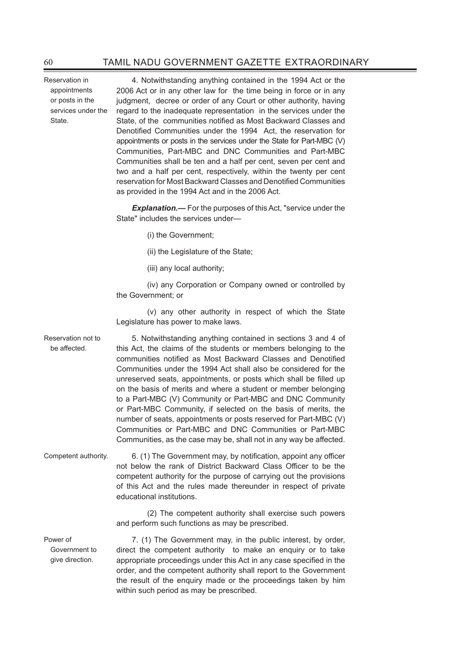Reservation in appointments or posts in the services under the State.

Power of

4. Notwithstanding anything contained in the 1994 Act or the 2006 Act or in any other law for the time being in force or in any judgment, decree or order of any Court or other authority, having regard to the inadequate representation in the services under the State, of the communities notified as Most Backward Classes and Denotified Communities under the 1994 Act, the reservation for appointments or posts in the services under the State for Part-MBC (V) Communities, Part-MBC and DNC Communities and Part-MBC Communities shall be ten and a half per cent, seven per cent and two and a half per cent, respectively, within the twenty per cent reservation for Most Backward Classes and Denotified Communities as provided in the 1994 Act and in the 2006 Act.

**Explanation.—** For the purposes of this Act, "service under the State" includes the services under—

- (i) the Government;
- (ii) the Legislature of the State;
- (iii) any local authority;

 (iv) any Corporation or Company owned or controlled by the Government; or

 (v) any other authority in respect of which the State Legislature has power to make laws.

Reservation not to be affected. 5. Notwithstanding anything contained in sections 3 and 4 of this Act, the claims of the students or members belonging to the communities notified as Most Backward Classes and Denotified Communities under the 1994 Act shall also be considered for the unreserved seats, appointments, or posts which shall be filled up on the basis of merits and where a student or member belonging to a Part-MBC (V) Community or Part-MBC and DNC Community or Part-MBC Community, if selected on the basis of merits, the number of seats, appointments or posts reserved for Part-MBC (V) Communities or Part-MBC and DNC Communities or Part-MBC Communities, as the case may be, shall not in any way be affected.

Competent authority. 6. (1) The Government may, by notification, appoint any officer not below the rank of District Backward Class Officer to be the competent authority for the purpose of carrying out the provisions of this Act and the rules made thereunder in respect of private educational institutions.

> (2) The competent authority shall exercise such powers and perform such functions as may be prescribed.

Government to give direction. 7. (1) The Government may, in the public interest, by order, direct the competent authority to make an enquiry or to take appropriate proceedings under this Act in any case specified in the order, and the competent authority shall report to the Government the result of the enquiry made or the proceedings taken by him within such period as may be prescribed.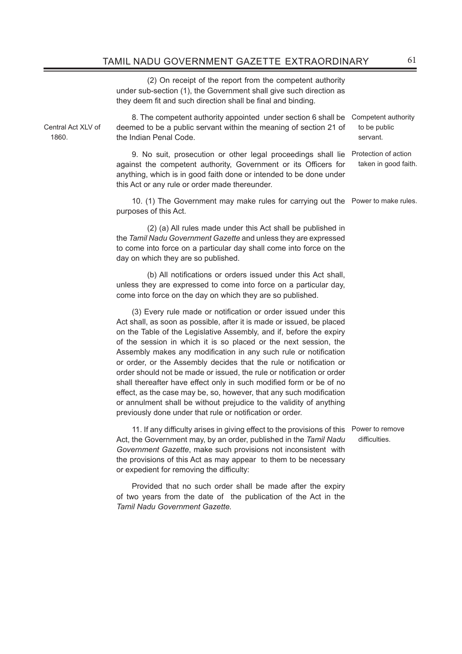(2) On receipt of the report from the competent authority under sub-section (1), the Government shall give such direction as they deem fit and such direction shall be final and binding.

Central Act XLV of 1860.

8. The competent authority appointed under section 6 shall be Competent authority deemed to be a public servant within the meaning of section 21 of the Indian Penal Code.

9. No suit, prosecution or other legal proceedings shall lie Protection of action against the competent authority, Government or its Officers for anything, which is in good faith done or intended to be done under this Act or any rule or order made thereunder.

10. (1) The Government may make rules for carrying out the Power to make rules. purposes of this Act.

 (2) (a) All rules made under this Act shall be published in the *Tamil Nadu Government Gazette* and unless they are expressed to come into force on a particular day shall come into force on the day on which they are so published.

(b) All notifications or orders issued under this Act shall, unless they are expressed to come into force on a particular day, come into force on the day on which they are so published.

(3) Every rule made or notification or order issued under this Act shall, as soon as possible, after it is made or issued, be placed on the Table of the Legislative Assembly, and if, before the expiry of the session in which it is so placed or the next session, the Assembly makes any modification in any such rule or notification or order, or the Assembly decides that the rule or notification or order should not be made or issued, the rule or notification or order shall thereafter have effect only in such modified form or be of no effect, as the case may be, so, however, that any such modification or annulment shall be without prejudice to the validity of anything previously done under that rule or notification or order.

11. If any difficulty arises in giving effect to the provisions of this Power to remove Act, the Government may, by an order, published in the *Tamil Nadu Government Gazette*, make such provisions not inconsistent with the provisions of this Act as may appear to them to be necessary or expedient for removing the difficulty:

Provided that no such order shall be made after the expiry of two years from the date of the publication of the Act in the *Tamil Nadu Government Gazette.*

difficulties.

to be public servant.

taken in good faith.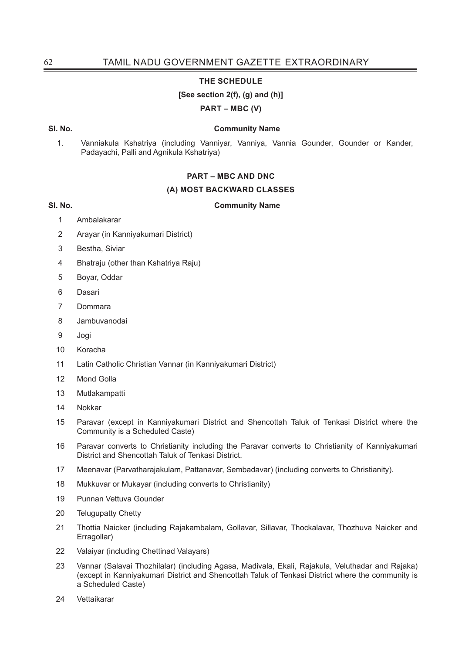### **THE SCHEDULE**

### **[See section 2(f), (g) and (h)]**

**PART – MBC (V)**

### **Sl. No. Community Name**

1. Vanniakula Kshatriya (including Vanniyar, Vanniya, Vannia Gounder, Gounder or Kander, Padayachi, Palli and Agnikula Kshatriya)

### **PART – MBC AND DNC**

### **(A) MOST BACKWARD CLASSES**

**Sl. No. Community Name**

- 1 Ambalakarar
- 2 Arayar (in Kanniyakumari District)
- 3 Bestha, Siviar
- 4 Bhatraju (other than Kshatriya Raju)
- 5 Boyar, Oddar
- 6 Dasari
- 7 Dommara
- 8 Jambuvanodai
- 9 Jogi
- 10 Koracha
- 11 Latin Catholic Christian Vannar (in Kanniyakumari District)
- 12 Mond Golla
- 13 Mutlakampatti
- 14 Nokkar
- 15 Paravar (except in Kanniyakumari District and Shencottah Taluk of Tenkasi District where the Community is a Scheduled Caste)
- 16 Paravar converts to Christianity including the Paravar converts to Christianity of Kanniyakumari District and Shencottah Taluk of Tenkasi District.
- 17 Meenavar (Parvatharajakulam, Pattanavar, Sembadavar) (including converts to Christianity).
- 18 Mukkuvar or Mukayar (including converts to Christianity)
- 19 Punnan Vettuva Gounder
- 20 Telugupatty Chetty
- 21 Thottia Naicker (including Rajakambalam, Gollavar, Sillavar, Thockalavar, Thozhuva Naicker and Erragollar)
- 22 Valaiyar (including Chettinad Valayars)
- 23 Vannar (Salavai Thozhilalar) (including Agasa, Madivala, Ekali, Rajakula, Veluthadar and Rajaka) (except in Kanniyakumari District and Shencottah Taluk of Tenkasi District where the community is a Scheduled Caste)
- 24 Vettaikarar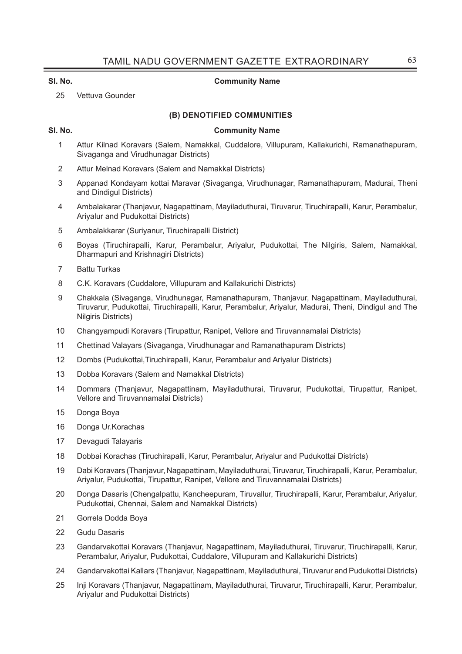### **Sl. No. Community Name**

25 Vettuva Gounder

### **(B) DENOTIFIED COMMUNITIES**

### **Sl. No. Community Name**

- 1 Attur Kilnad Koravars (Salem, Namakkal, Cuddalore, Villupuram, Kallakurichi, Ramanathapuram, Sivaganga and Virudhunagar Districts)
- 2 Attur Melnad Koravars (Salem and Namakkal Districts)
- 3 Appanad Kondayam kottai Maravar (Sivaganga, Virudhunagar, Ramanathapuram, Madurai, Theni and Dindigul Districts)
- 4 Ambalakarar (Thanjavur, Nagapattinam, Mayiladuthurai, Tiruvarur, Tiruchirapalli, Karur, Perambalur, Ariyalur and Pudukottai Districts)
- 5 Ambalakkarar (Suriyanur, Tiruchirapalli District)
- 6 Boyas (Tiruchirapalli, Karur, Perambalur, Ariyalur, Pudukottai, The Nilgiris, Salem, Namakkal, Dharmapuri and Krishnagiri Districts)
- 7 Battu Turkas
- 8 C.K. Koravars (Cuddalore, Villupuram and Kallakurichi Districts)
- 9 Chakkala (Sivaganga, Virudhunagar, Ramanathapuram, Thanjavur, Nagapattinam, Mayiladuthurai, Tiruvarur, Pudukottai, Tiruchirapalli, Karur, Perambalur, Ariyalur, Madurai, Theni, Dindigul and The Nilgiris Districts)
- 10 Changyampudi Koravars (Tirupattur, Ranipet, Vellore and Tiruvannamalai Districts)
- 11 Chettinad Valayars (Sivaganga, Virudhunagar and Ramanathapuram Districts)
- 12 Dombs (Pudukottai,Tiruchirapalli, Karur, Perambalur and Ariyalur Districts)
- 13 Dobba Koravars (Salem and Namakkal Districts)
- 14 Dommars (Thanjavur, Nagapattinam, Mayiladuthurai, Tiruvarur, Pudukottai, Tirupattur, Ranipet, Vellore and Tiruvannamalai Districts)
- 15 Donga Boya
- 16 Donga Ur.Korachas
- 17 Devagudi Talayaris
- 18 Dobbai Korachas (Tiruchirapalli, Karur, Perambalur, Ariyalur and Pudukottai Districts)
- 19 Dabi Koravars (Thanjavur, Nagapattinam, Mayiladuthurai, Tiruvarur, Tiruchirapalli, Karur, Perambalur, Ariyalur, Pudukottai, Tirupattur, Ranipet, Vellore and Tiruvannamalai Districts)
- 20 Donga Dasaris (Chengalpattu, Kancheepuram, Tiruvallur, Tiruchirapalli, Karur, Perambalur, Ariyalur, Pudukottai, Chennai, Salem and Namakkal Districts)
- 21 Gorrela Dodda Boya
- 22 Gudu Dasaris
- 23 Gandarvakottai Koravars (Thanjavur, Nagapattinam, Mayiladuthurai, Tiruvarur, Tiruchirapalli, Karur, Perambalur, Ariyalur, Pudukottai, Cuddalore, Villupuram and Kallakurichi Districts)
- 24 Gandarvakottai Kallars (Thanjavur, Nagapattinam, Mayiladuthurai, Tiruvarur and Pudukottai Districts)
- 25 Inji Koravars (Thanjavur, Nagapattinam, Mayiladuthurai, Tiruvarur, Tiruchirapalli, Karur, Perambalur, Ariyalur and Pudukottai Districts)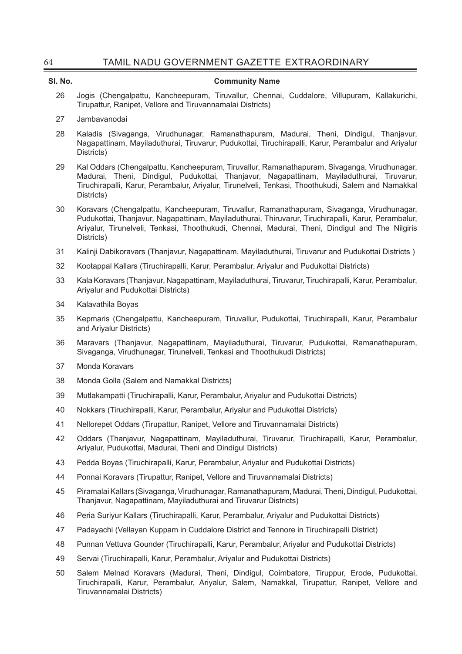| 64      | TAMIL NADU GOVERNMENT GAZETTE EXTRAORDINARY                                                                                                                                                                                                                                                                        |
|---------|--------------------------------------------------------------------------------------------------------------------------------------------------------------------------------------------------------------------------------------------------------------------------------------------------------------------|
| SI. No. | <b>Community Name</b>                                                                                                                                                                                                                                                                                              |
| 26      | Jogis (Chengalpattu, Kancheepuram, Tiruvallur, Chennai, Cuddalore, Villupuram, Kallakurichi,<br>Tirupattur, Ranipet, Vellore and Tiruvannamalai Districts)                                                                                                                                                         |
| 27      | Jambavanodai                                                                                                                                                                                                                                                                                                       |
| 28      | Kaladis (Sivaganga, Virudhunagar, Ramanathapuram, Madurai, Theni, Dindigul, Thanjavur,<br>Nagapattinam, Mayiladuthurai, Tiruvarur, Pudukottai, Tiruchirapalli, Karur, Perambalur and Ariyalur<br>Districts)                                                                                                        |
| 29      | Kal Oddars (Chengalpattu, Kancheepuram, Tiruvallur, Ramanathapuram, Sivaganga, Virudhunagar,<br>Madurai, Theni, Dindigul, Pudukottai, Thanjavur, Nagapattinam, Mayiladuthurai, Tiruvarur,<br>Tiruchirapalli, Karur, Perambalur, Ariyalur, Tirunelveli, Tenkasi, Thoothukudi, Salem and Namakkal<br>Districts)      |
| 30      | Koravars (Chengalpattu, Kancheepuram, Tiruvallur, Ramanathapuram, Sivaganga, Virudhunagar,<br>Pudukottai, Thanjavur, Nagapattinam, Mayiladuthurai, Thiruvarur, Tiruchirapalli, Karur, Perambalur,<br>Ariyalur, Tirunelveli, Tenkasi, Thoothukudi, Chennai, Madurai, Theni, Dindigul and The Nilgiris<br>Districts) |
| 31      | Kalinji Dabikoravars (Thanjavur, Nagapattinam, Mayiladuthurai, Tiruvarur and Pudukottai Districts)                                                                                                                                                                                                                 |
| 32      | Kootappal Kallars (Tiruchirapalli, Karur, Perambalur, Ariyalur and Pudukottai Districts)                                                                                                                                                                                                                           |
| 33      | Kala Koravars (Thanjavur, Nagapattinam, Mayiladuthurai, Tiruvarur, Tiruchirapalli, Karur, Perambalur,<br>Ariyalur and Pudukottai Districts)                                                                                                                                                                        |
| 34      | Kalavathila Boyas                                                                                                                                                                                                                                                                                                  |
| 35      | Kepmaris (Chengalpattu, Kancheepuram, Tiruvallur, Pudukottai, Tiruchirapalli, Karur, Perambalur<br>and Ariyalur Districts)                                                                                                                                                                                         |
| 36      | Maravars (Thanjavur, Nagapattinam, Mayiladuthurai, Tiruvarur, Pudukottai, Ramanathapuram,<br>Sivaganga, Virudhunagar, Tirunelveli, Tenkasi and Thoothukudi Districts)                                                                                                                                              |
| 37      | Monda Koravars                                                                                                                                                                                                                                                                                                     |
| 38      | Monda Golla (Salem and Namakkal Districts)                                                                                                                                                                                                                                                                         |
| 39      | Mutlakampatti (Tiruchirapalli, Karur, Perambalur, Ariyalur and Pudukottai Districts)                                                                                                                                                                                                                               |
| 40      | Nokkars (Tiruchirapalli, Karur, Perambalur, Ariyalur and Pudukottai Districts)                                                                                                                                                                                                                                     |
| 41      | Nellorepet Oddars (Tirupattur, Ranipet, Vellore and Tiruvannamalai Districts)                                                                                                                                                                                                                                      |
| 42      | Oddars (Thanjavur, Nagapattinam, Mayiladuthurai, Tiruvarur, Tiruchirapalli, Karur, Perambalur,<br>Ariyalur, Pudukottai, Madurai, Theni and Dindigul Districts)                                                                                                                                                     |
| 43      | Pedda Boyas (Tiruchirapalli, Karur, Perambalur, Ariyalur and Pudukottai Districts)                                                                                                                                                                                                                                 |
| 44      | Ponnai Koravars (Tirupattur, Ranipet, Vellore and Tiruvannamalai Districts)                                                                                                                                                                                                                                        |
| 45      | Piramalai Kallars (Sivaganga, Virudhunagar, Ramanathapuram, Madurai, Theni, Dindigul, Pudukottai,<br>Thanjavur, Nagapattinam, Mayiladuthurai and Tiruvarur Districts)                                                                                                                                              |
| 46      | Peria Suriyur Kallars (Tiruchirapalli, Karur, Perambalur, Ariyalur and Pudukottai Districts)                                                                                                                                                                                                                       |
| 47      | Padayachi (Vellayan Kuppam in Cuddalore District and Tennore in Tiruchirapalli District)                                                                                                                                                                                                                           |
| 48      | Punnan Vettuva Gounder (Tiruchirapalli, Karur, Perambalur, Ariyalur and Pudukottai Districts)                                                                                                                                                                                                                      |
| 49      | Servai (Tiruchirapalli, Karur, Perambalur, Ariyalur and Pudukottai Districts)                                                                                                                                                                                                                                      |
| 50      | Salem Melnad Koravars (Madurai, Theni, Dindigul, Coimbatore, Tiruppur, Erode, Pudukottai,                                                                                                                                                                                                                          |

Tiruchirapalli, Karur, Perambalur, Ariyalur, Salem, Namakkal, Tirupattur, Ranipet, Vellore and

Tiruvannamalai Districts)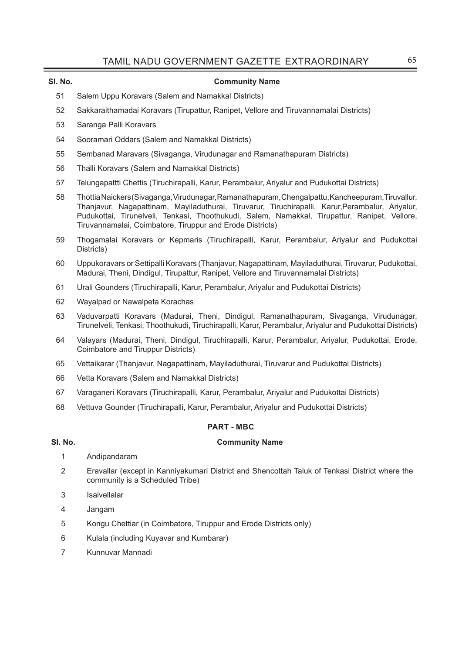### **Sl. No. Community Name**

- 51 Salem Uppu Koravars (Salem and Namakkal Districts)
- 52 Sakkaraithamadai Koravars (Tirupattur, Ranipet, Vellore and Tiruvannamalai Districts)
- 53 Saranga Palli Koravars
- 54 Sooramari Oddars (Salem and Namakkal Districts)
- 55 Sembanad Maravars (Sivaganga, Virudunagar and Ramanathapuram Districts)
- 56 Thalli Koravars (Salem and Namakkal Districts)
- 57 Telungapattti Chettis (Tiruchirapalli, Karur, Perambalur, Ariyalur and Pudukottai Districts)
- 58 Thottia Naickers (Sivaganga, Virudunagar, Ramanathapuram, Chengalpattu, Kancheepuram,Tiruvallur, Thanjavur, Nagapattinam, Mayiladuthurai, Tiruvarur, Tiruchirapalli, Karur,Perambalur, Ariyalur, Pudukottai, Tirunelveli, Tenkasi, Thoothukudi, Salem, Namakkal, Tirupattur, Ranipet, Vellore, Tiruvannamalai, Coimbatore, Tiruppur and Erode Districts)
- 59 Thogamalai Koravars or Kepmaris (Tiruchirapalli, Karur, Perambalur, Ariyalur and Pudukottai Districts)
- 60 Uppukoravars or Settipalli Koravars (Thanjavur, Nagapattinam, Mayiladuthurai, Tiruvarur, Pudukottai, Madurai, Theni, Dindigul, Tirupattur, Ranipet, Vellore and Tiruvannamalai Districts)
- 61 Urali Gounders (Tiruchirapalli, Karur, Perambalur, Ariyalur and Pudukottai Districts)
- 62 Wayalpad or Nawalpeta Korachas
- 63 Vaduvarpatti Koravars (Madurai, Theni, Dindigul, Ramanathapuram, Sivaganga, Virudunagar, Tirunelveli, Tenkasi, Thoothukudi, Tiruchirapalli, Karur, Perambalur, Ariyalur and Pudukottai Districts)
- 64 Valayars (Madurai, Theni, Dindigul, Tiruchirapalli, Karur, Perambalur, Ariyalur, Pudukottai, Erode, Coimbatore and Tiruppur Districts)
- 65 Vettaikarar (Thanjavur, Nagapattinam, Mayiladuthurai, Tiruvarur and Pudukottai Districts)
- 66 Vetta Koravars (Salem and Namakkal Districts)
- 67 Varaganeri Koravars (Tiruchirapalli, Karur, Perambalur, Ariyalur and Pudukottai Districts)
- 68 Vettuva Gounder (Tiruchirapalli, Karur, Perambalur, Ariyalur and Pudukottai Districts)

### **PART - MBC**

### **Sl. No. Community Name**

- 1 Andipandaram
- 2 Eravallar (except in Kanniyakumari District and Shencottah Taluk of Tenkasi District where the community is a Scheduled Tribe)
- 3 Isaivellalar
- 4 Jangam
- 5 Kongu Chettiar (in Coimbatore, Tiruppur and Erode Districts only)
- 6 Kulala (including Kuyavar and Kumbarar)
- 7 Kunnuvar Mannadi